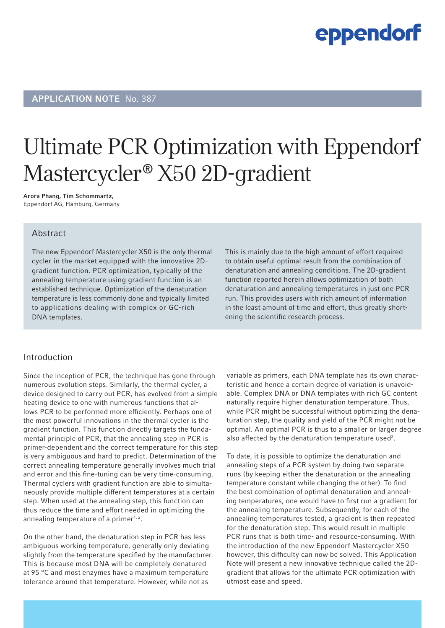### APPLICATION NOTE No. 387

# Ultimate PCR Optimization with Eppendorf Mastercycler<sup>®</sup> X50 2D-gradient

Arora Phang, Tim Schommartz, Eppendorf AG, Hamburg, Germany

#### Abstract

The new Eppendorf Mastercycler X50 is the only thermal cycler in the market equipped with the innovative 2Dgradient function. PCR optimization, typically of the annealing temperature using gradient function is an established technique. Optimization of the denaturation temperature is less commonly done and typically limited to applications dealing with complex or GC-rich DNA templates.

This is mainly due to the high amount of effort required to obtain useful optimal result from the combination of denaturation and annealing conditions. The 2D-gradient function reported herein allows optimization of both denaturation and annealing temperatures in just one PCR run. This provides users with rich amount of information in the least amount of time and effort, thus greatly shortening the scientific research process.

#### Introduction

Since the inception of PCR, the technique has gone through numerous evolution steps. Similarly, the thermal cycler, a device designed to carry out PCR, has evolved from a simple heating device to one with numerous functions that allows PCR to be performed more efficiently. Perhaps one of the most powerful innovations in the thermal cycler is the gradient function. This function directly targets the fundamental principle of PCR, that the annealing step in PCR is primer-dependent and the correct temperature for this step is very ambiguous and hard to predict. Determination of the correct annealing temperature generally involves much trial and error and this fine-tuning can be very time-consuming. Thermal cyclers with gradient function are able to simultaneously provide multiple different temperatures at a certain step. When used at the annealing step, this function can thus reduce the time and effort needed in optimizing the annealing temperature of a primer<sup>1, 2</sup>.

On the other hand, the denaturation step in PCR has less ambiguous working temperature, generally only deviating slightly from the temperature specified by the manufacturer. This is because most DNA will be completely denatured at 95 °C and most enzymes have a maximum temperature tolerance around that temperature. However, while not as

variable as primers, each DNA template has its own characteristic and hence a certain degree of variation is unavoidable. Complex DNA or DNA templates with rich GC content naturally require higher denaturation temperature. Thus, while PCR might be successful without optimizing the denaturation step, the quality and yield of the PCR might not be optimal. An optimal PCR is thus to a smaller or larger degree also affected by the denaturation temperature used<sup>2</sup>.

To date, it is possible to optimize the denaturation and annealing steps of a PCR system by doing two separate runs (by keeping either the denaturation or the annealing temperature constant while changing the other). To find the best combination of optimal denaturation and annealing temperatures, one would have to first run a gradient for the annealing temperature. Subsequently, for each of the annealing temperatures tested, a gradient is then repeated for the denaturation step. This would result in multiple PCR runs that is both time- and resource-consuming. With the introduction of the new Eppendorf Mastercycler X50 however, this difficulty can now be solved. This Application Note will present a new innovative technique called the 2Dgradient that allows for the ultimate PCR optimization with utmost ease and speed.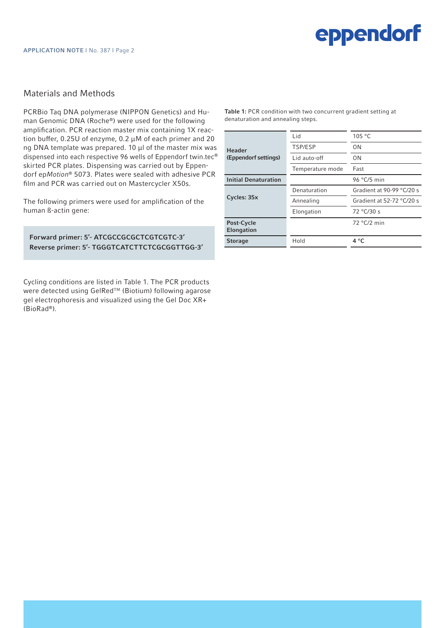#### Materials and Methods

PCRBio Taq DNA polymerase (NIPPON Genetics) and Human Genomic DNA (Roche®) were used for the following amplification. PCR reaction master mix containing 1X reaction buffer, 0.25U of enzyme, 0.2 µM of each primer and 20 ng DNA template was prepared. 10  $\mu$ l of the master mix was dispensed into each respective 96 wells of Eppendorf twin.tec*®* skirted PCR plates. Dispensing was carried out by Eppendorf ep*Motion®* 5073. Plates were sealed with adhesive PCR film and PCR was carried out on Mastercycler X50s.

The following primers were used for amplification of the human ß-actin gene:

Forward primer: 5'- ATCGCCGCGCTCGTCGTC-3' Reverse primer: 5'- TGGGTCATCTTCTCGCGGTTGG-3'

Cycling conditions are listed in Table 1. The PCR products were detected using GelRed<sup>™</sup> (Biotium) following agarose gel electrophoresis and visualized using the Gel Doc XR+ (BioRad®).

Table 1: PCR condition with two concurrent gradient setting at denaturation and annealing steps.

| <b>Header</b><br>(Eppendorf settings) | Lid              | 105 °C                      |
|---------------------------------------|------------------|-----------------------------|
|                                       | TSP/ESP          | 0 <sub>N</sub>              |
|                                       | Lid auto-off     | 0N                          |
|                                       | Temperature mode | Fast                        |
| <b>Initial Denaturation</b>           |                  | 96 $°C/5$ min               |
| Cycles: 35x                           | Denaturation     | Gradient at 90-99 $°C/20$ s |
|                                       | Annealing        | Gradient at 52-72 $°C/20$ s |
|                                       | Elongation       | 72 °C/30 s                  |
| Post-Cycle<br>Elongation              |                  | $72 °C/2$ min               |
| <b>Storage</b>                        | Hold             | $4^{\circ}$ C               |
|                                       |                  |                             |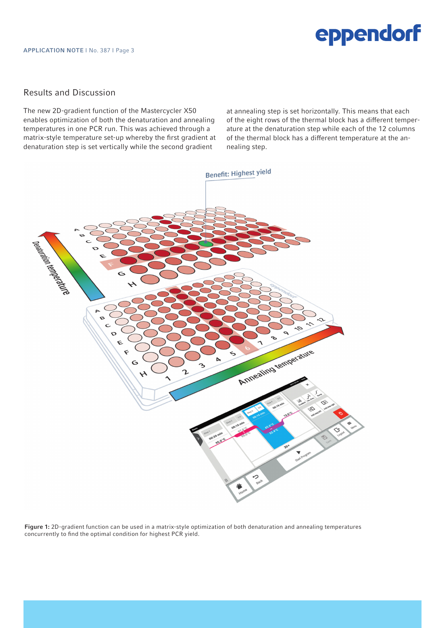### Results and Discussion

The new 2D-gradient function of the Mastercycler X50 enables optimization of both the denaturation and annealing temperatures in one PCR run. This was achieved through a matrix-style temperature set-up whereby the first gradient at denaturation step is set vertically while the second gradient

at annealing step is set horizontally. This means that each of the eight rows of the thermal block has a different temperature at the denaturation step while each of the 12 columns of the thermal block has a different temperature at the annealing step.



Figure 1: 2D-gradient function can be used in a matrix-style optimization of both denaturation and annealing temperatures concurrently to find the optimal condition for highest PCR yield.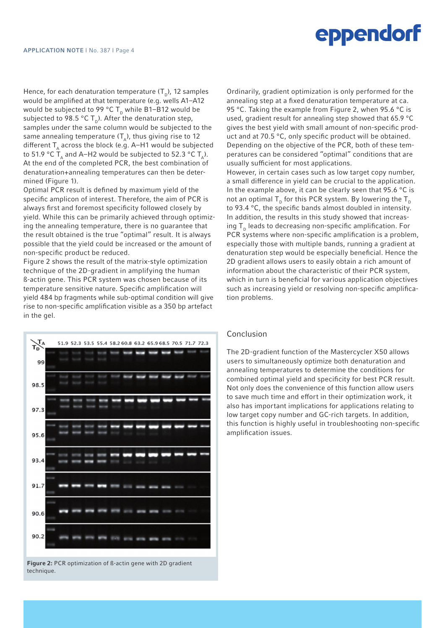Hence, for each denaturation temperature  $(T_{p})$ , 12 samples would be amplified at that temperature (e.g. wells A1–A12 would be subjected to 99 °C  $T_p$  while B1–B12 would be subjected to 98.5 °C  $T_p$ ). After the denaturation step, samples under the same column would be subjected to the same annealing temperature  $(T_A)$ , thus giving rise to 12 different  $T<sub>A</sub>$  across the block (e.g. A–H1 would be subjected to 51.9 °C  $T_{\text{A}}$  and A–H2 would be subjected to 52.3 °C  $T_{\text{A}}$ ). At the end of the completed PCR, the best combination of denaturation+annealing temperatures can then be determined (Figure 1).

Optimal PCR result is defined by maximum yield of the specific amplicon of interest. Therefore, the aim of PCR is always first and foremost specificity followed closely by yield. While this can be primarily achieved through optimizing the annealing temperature, there is no guarantee that the result obtained is the true "optimal" result. It is always possible that the yield could be increased or the amount of non-specific product be reduced.

Figure 2 shows the result of the matrix-style optimization technique of the 2D-gradient in amplifying the human ß-actin gene. This PCR system was chosen because of its temperature sensitive nature. Specific amplification will yield 484 bp fragments while sub-optimal condition will give rise to non-specific amplification visible as a 350 bp artefact in the gel.



technique.

Ordinarily, gradient optimization is only performed for the annealing step at a fixed denaturation temperature at ca. 95 °C. Taking the example from Figure 2, when 95.6 °C is used, gradient result for annealing step showed that 65.9 °C gives the best yield with small amount of non-specific product and at 70.5 °C, only specific product will be obtained. Depending on the objective of the PCR, both of these temperatures can be considered "optimal" conditions that are usually sufficient for most applications.

However, in certain cases such as low target copy number, a small difference in yield can be crucial to the application. In the example above, it can be clearly seen that 95.6 °C is not an optimal  $T_p$  for this PCR system. By lowering the  $T_p$ to 93.4 °C, the specific bands almost doubled in intensity. In addition, the results in this study showed that increasing  $T<sub>p</sub>$  leads to decreasing non-specific amplification. For PCR systems where non-specific amplification is a problem, especially those with multiple bands, running a gradient at denaturation step would be especially beneficial. Hence the 2D gradient allows users to easily obtain a rich amount of information about the characteristic of their PCR system, which in turn is beneficial for various application objectives such as increasing yield or resolving non-specific amplification problems.

#### Conclusion

The 2D-gradient function of the Mastercycler X50 allows users to simultaneously optimize both denaturation and annealing temperatures to determine the conditions for combined optimal yield and specificity for best PCR result. Not only does the convenience of this function allow users to save much time and effort in their optimization work, it also has important implications for applications relating to low target copy number and GC-rich targets. In addition, this function is highly useful in troubleshooting non-specific amplification issues.